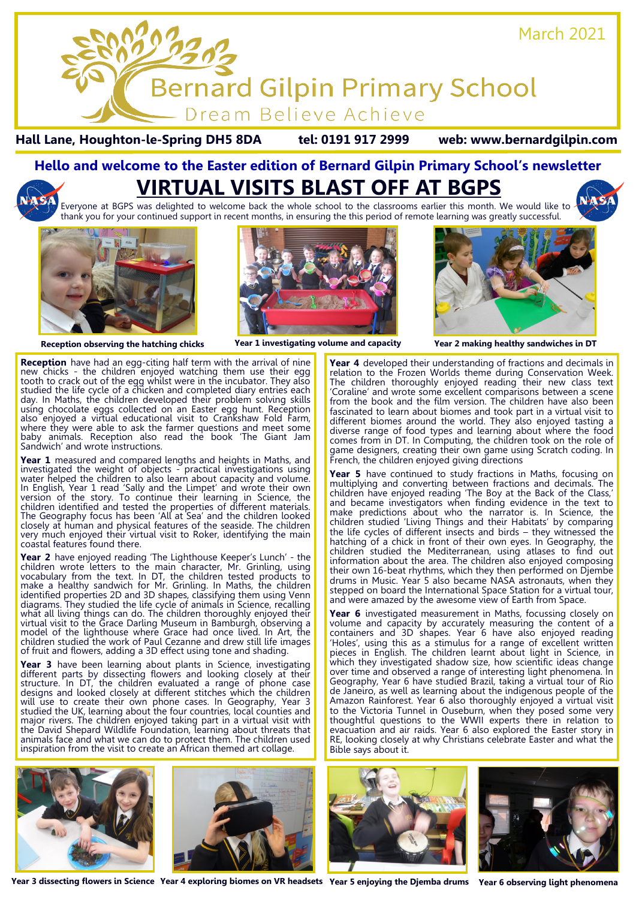

**Hall Lane, Houghton-le-Spring DH5 8DA tel: 0191 917 2999 web: www.bernardgilpin.com**

# **Hello and welcome to the Easter edition of Bernard Gilpin Primary School's newsletter VIRTUAL VISITS BLAST OFF AT BGPS**

Everyone at BGPS was delighted to welcome back the whole school to the classrooms earlier this month. We would like to thank you for your continued support in recent months, in ensuring the this period of remote learning was greatly successful.



**Reception** have had an egg-citing half term with the arrival of nine new chicks - the children enjoyed watching them use their egg tooth to crack out of the egg whilst were in the incubator. They also studied the life cycle of a chicken and completed diary entries each day. In Maths, the children developed their problem solving skills using chocolate eggs collected on an Easter egg hunt. Reception also enjoyed a virtual educational visit to Crankshaw Fold Farm, where they were able to ask the farmer questions and meet some baby animals. Reception also read the book 'The Giant Jam Sandwich' and wrote instructions.

**Year 1** measured and compared lengths and heights in Maths, and investigated the weight of objects - practical investigations using water helped the children to also learn about capacity and volume. In English, Year 1 read 'Sally and the Limpet' and wrote their own version of the story. To continue their learning in Science, the children identified and tested the properties of different materials. The Geography focus has been 'All at Sea' and the children looked closely at human and physical features of the seaside. The children very much enjoyed their virtual visit to Roker, identifying the main coastal features found there.

**Year 2** have enjoyed reading 'The Lighthouse Keeper's Lunch' - the children wrote letters to the main character, Mr. Grinling, using vocabulary from the text. In DT, the children tested products to make a healthy sandwich for Mr. Grinling. In Maths, the children identified properties 2D and 3D shapes, classifying them using Venn diagrams. They studied the life cycle of animals in Science, recalling what all living things can do. The children thoroughly enjoyed their virtual visit to the Grace Darling Museum in Bamburgh, observing a model of the lighthouse where Grace had once lived. In Art, the children studied the work of Paul Cezanne and drew still life images of fruit and flowers, adding a 3D effect using tone and shading.

**Year 3** have been learning about plants in Science, investigating different parts by dissecting flowers and looking closely at their structure. In DT, the children evaluated a range of phone case designs and looked closely at different stitches which the children will use to create their own phone cases. In Geography, Year 3 studied the UK, learning about the four countries, local counties and major rivers. The children enjoyed taking part in a virtual visit with the David Shepard Wildlife Foundation, learning about threats that animals face and what we can do to protect them. The children used inspiration from the visit to create an African themed art collage.



**Reception observing the hatching chicks Year 1 investigating volume and capacity Year 2 making healthy sandwiches in DT**

**Year 4** developed their understanding of fractions and decimals in relation to the Frozen Worlds theme during Conservation Week. The children thoroughly enjoyed reading their new class text 'Coraline' and wrote some excellent comparisons between a scene from the book and the film version. The children have also been fascinated to learn about biomes and took part in a virtual visit to different biomes around the world. They also enjoyed tasting a diverse range of food types and learning about where the food comes from in DT. In Computing, the children took on the role of game designers, creating their own game using Scratch coding. In French, the children enjoyed giving directions

**Year 5** have continued to study fractions in Maths, focusing on multiplying and converting between fractions and decimals. The children have enjoyed reading 'The Boy at the Back of the Class,' and became investigators when finding evidence in the text to make predictions about who the narrator is. In Science, the children studied 'Living Things and their Habitats' by comparing the life cycles of different insects and birds – they witnessed the hatching of a chick in front of their own eyes. In Geography, the children studied the Mediterranean, using atlases to find out information about the area. The children also enjoyed composing their own 16-beat rhythms, which they then performed on Djembe drums in Music. Year 5 also became NASA astronauts, when they stepped on board the International Space Station for a virtual tour, and were amazed by the awesome view of Earth from Space.

Year 6 investigated measurement in Maths, focussing closely on volume and capacity by accurately measuring the content of a containers and 3D shapes. Year 6 have also enjoyed reading 'Holes', using this as a stimulus for a range of excellent written pieces in English. The children learnt about light in Science, in which they investigated shadow size, how scientific ideas change over time and observed a range of interesting light phenomena. In Geography, Year 6 have studied Brazil, taking a virtual tour of Rio de Janeiro, as well as learning about the indigenous people of the Amazon Rainforest. Year 6 also thoroughly enjoyed a virtual visit to the Victoria Tunnel in Ouseburn, when they posed some very thoughtful questions to the WWII experts there in relation to evacuation and air raids. Year 6 also explored the Easter story in RE, looking closely at why Christians celebrate Easter and what the Bible says about it.



Year 3 dissecting flowers in Science Year 4 exploring biomes on VR headsets Year 5 enjoying the Djemba drums Year 6 observing light phenomena